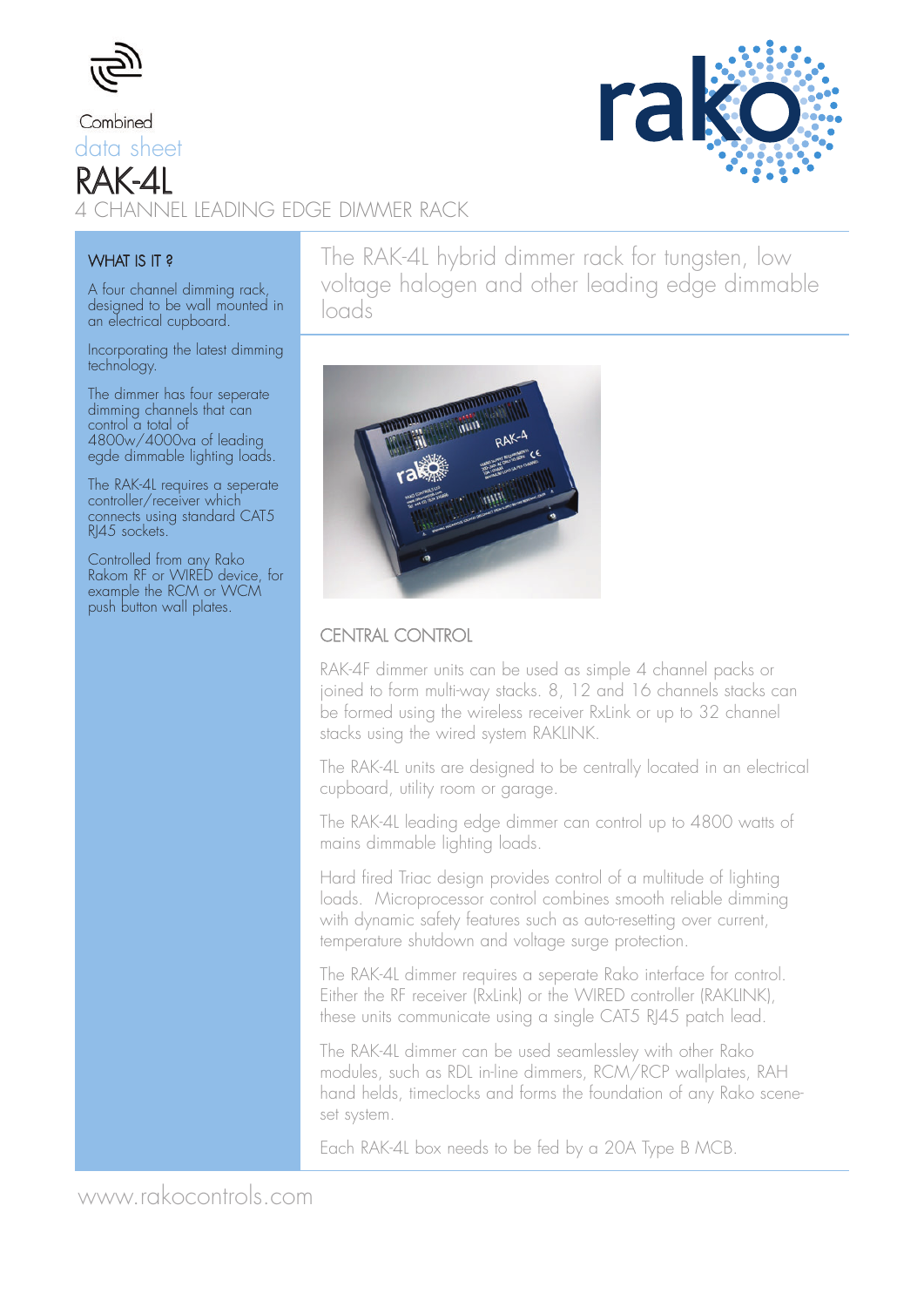

Combined data sheet RAK-4L 4 CHANNEL LEADING EDGE DIMMER RACK



#### WHAT IS IT?

A four channel dimming rack, designed to be wall mounted in an electrical cupboard.

Incorporating the latest dimming technology.

The dimmer has four seperate dimming channels that can control a total of 4800w/4000va of leading egde dimmable lighting loads.

The RAK-4L requires a seperate controller/receiver which connects using standard CAT5 RI45 sockets.

Controlled from any Rako Rakom RF or WIRED device, for example the RCM or WCM push button wall plates.

The RAK-4L hybrid dimmer rack for tungsten, low voltage halogen and other leading edge dimmable loads



### CENTRAL CONTROL

RAK-4F dimmer units can be used as simple 4 channel packs or joined to form multi-way stacks. 8, 12 and 16 channels stacks can be formed using the wireless receiver RxLink or up to 32 channel stacks using the wired system RAKLINK.

The RAK-4L units are designed to be centrally located in an electrical cupboard, utility room or garage.

The RAK-4L leading edge dimmer can control up to 4800 watts of mains dimmable lighting loads.

Hard fired Triac design provides control of a multitude of lighting loads. Microprocessor control combines smooth reliable dimming with dynamic safety features such as auto-resetting over current, temperature shutdown and voltage surge protection.

The RAK-4L dimmer requires a seperate Rako interface for control. Either the RF receiver (RxLink) or the WIRED controller (RAKLINK), these units communicate using a single CAT5 RJ45 patch lead.

The RAK-4L dimmer can be used seamlessley with other Rako modules, such as RDL in-line dimmers, RCM/RCP wallplates, RAH hand helds, timeclocks and forms the foundation of any Rako sceneset system.

Each RAK-4L box needs to be fed by a 20A Type B MCB.

www.rakocontrols.com